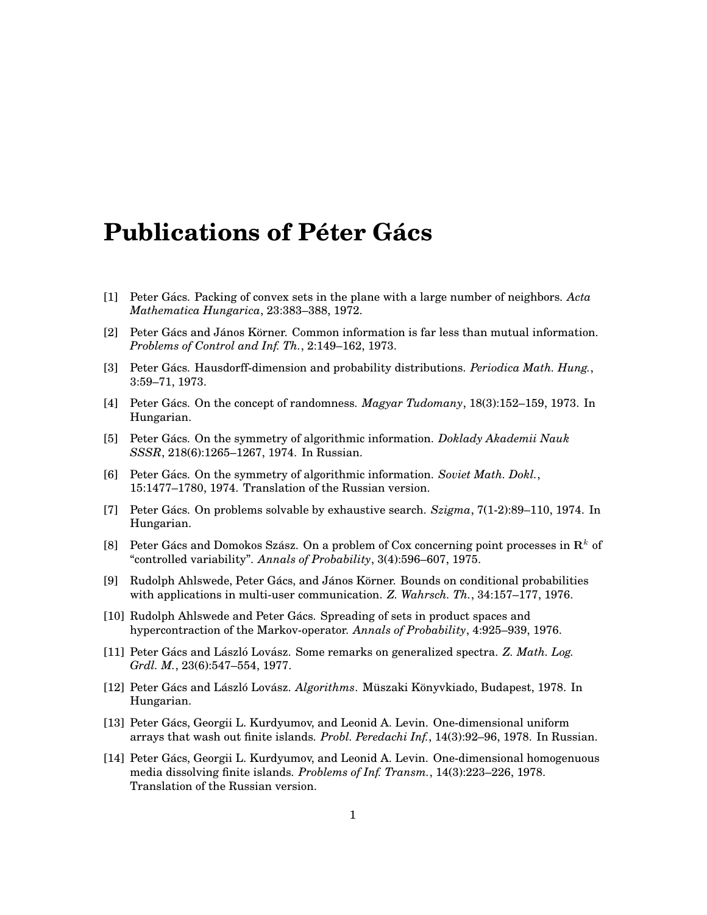## **Publications of Péter Gács**

- [1] Peter Gács. Packing of convex sets in the plane with a large number of neighbors. Acta *Mathematica Hungarica*, 23:383–388, 1972.
- $[2]$  Peter Gács and János Körner. Common information is far less than mutual information. *Problems of Control and Inf. Th.*, 2:149–162, 1973.
- [3] Peter Gács. Hausdorff-dimension and probability distributions. *Periodica Math. Hung.*, 3:59–71, 1973.
- [4] Peter Gács. On the concept of randomness. *Magyar Tudomany*, 18(3):152–159, 1973. In Hungarian.
- [5] Peter Gács. On the symmetry of algorithmic information. *Doklady Akademii Nauk SSSR*, 218(6):1265–1267, 1974. In Russian.
- [6] Peter Gács. On the symmetry of algorithmic information. Soviet Math. Dokl., 15:1477–1780, 1974. Translation of the Russian version.
- [7] Peter Gács. On problems solvable by exhaustive search.  $Szigma$ , 7(1-2):89–110, 1974. In Hungarian.
- [8] Peter Gács and Domokos Szász. On a problem of Cox concerning point processes in  $\mathbb{R}^k$  of "controlled variability". *Annals of Probability*, 3(4):596–607, 1975.
- [9] Rudolph Ahlswede, Peter Gács, and János Körner. Bounds on conditional probabilities with applications in multi-user communication. *Z. Wahrsch. Th.*, 34:157–177, 1976.
- [10] Rudolph Ahlswede and Peter Gács. Spreading of sets in product spaces and hypercontraction of the Markov-operator. *Annals of Probability*, 4:925–939, 1976.
- [11] Peter Gács and László Lovász. Some remarks on generalized spectra. *Z. Math. Log. Grdl. M.*, 23(6):547–554, 1977.
- [12] Peter Gács and László Lovász. *Algorithms*. Müszaki Könyvkiado, Budapest, 1978. In Hungarian.
- [13] Peter Gács, Georgii L. Kurdyumov, and Leonid A. Levin. One-dimensional uniform arrays that wash out finite islands. *Probl. Peredachi Inf.*, 14(3):92–96, 1978. In Russian.
- [14] Peter Gács, Georgii L. Kurdyumov, and Leonid A. Levin. One-dimensional homogenuous media dissolving finite islands. *Problems of Inf. Transm.*, 14(3):223–226, 1978. Translation of the Russian version.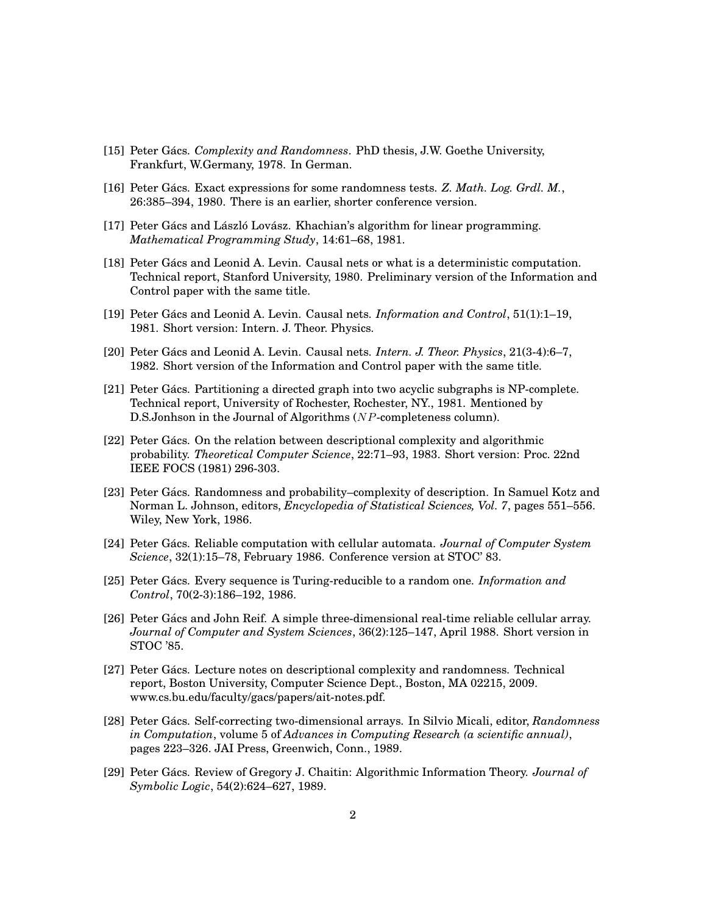- [15] Peter Gács. *Complexity and Randomness*. PhD thesis, J.W. Goethe University, Frankfurt, W.Germany, 1978. In German.
- [16] Peter Gács. Exact expressions for some randomness tests. *Z. Math. Log. Grdl. M.*, 26:385–394, 1980. There is an earlier, shorter conference version.
- [17] Peter Gács and László Lovász. Khachian's algorithm for linear programming. *Mathematical Programming Study*, 14:61–68, 1981.
- [18] Peter Gács and Leonid A. Levin. Causal nets or what is a deterministic computation. Technical report, Stanford University, 1980. Preliminary version of the Information and Control paper with the same title.
- [19] Peter Gacs and Leonid A. Levin. Causal nets. ´ *Information and Control*, 51(1):1–19, 1981. Short version: Intern. J. Theor. Physics.
- [20] Peter Gács and Leonid A. Levin. Causal nets. *Intern. J. Theor. Physics*, 21(3-4):6–7, 1982. Short version of the Information and Control paper with the same title.
- [21] Peter Gács. Partitioning a directed graph into two acyclic subgraphs is NP-complete. Technical report, University of Rochester, Rochester, NY., 1981. Mentioned by D.S.Jonhson in the Journal of Algorithms (*NP*-completeness column).
- [22] Peter Gács. On the relation between descriptional complexity and algorithmic probability. *Theoretical Computer Science*, 22:71–93, 1983. Short version: Proc. 22nd IEEE FOCS (1981) 296-303.
- [23] Peter Gács. Randomness and probability–complexity of description. In Samuel Kotz and Norman L. Johnson, editors, *Encyclopedia of Statistical Sciences, Vol. 7*, pages 551–556. Wiley, New York, 1986.
- [24] Peter Gács. Reliable computation with cellular automata. *Journal of Computer System Science*, 32(1):15–78, February 1986. Conference version at STOC' 83.
- [25] Peter Gács. Every sequence is Turing-reducible to a random one. *Information and Control*, 70(2-3):186–192, 1986.
- [26] Peter Gács and John Reif. A simple three-dimensional real-time reliable cellular array. *Journal of Computer and System Sciences*, 36(2):125–147, April 1988. Short version in STOC '85.
- [27] Peter Gács. Lecture notes on descriptional complexity and randomness. Technical report, Boston University, Computer Science Dept., Boston, MA 02215, 2009. www.cs.bu.edu/faculty/gacs/papers/ait-notes.pdf.
- [28] Peter Gács. Self-correcting two-dimensional arrays. In Silvio Micali, editor, Randomness *in Computation*, volume 5 of *Advances in Computing Research (a scientific annual)*, pages 223–326. JAI Press, Greenwich, Conn., 1989.
- [29] Peter Gács. Review of Gregory J. Chaitin: Algorithmic Information Theory. *Journal of Symbolic Logic*, 54(2):624–627, 1989.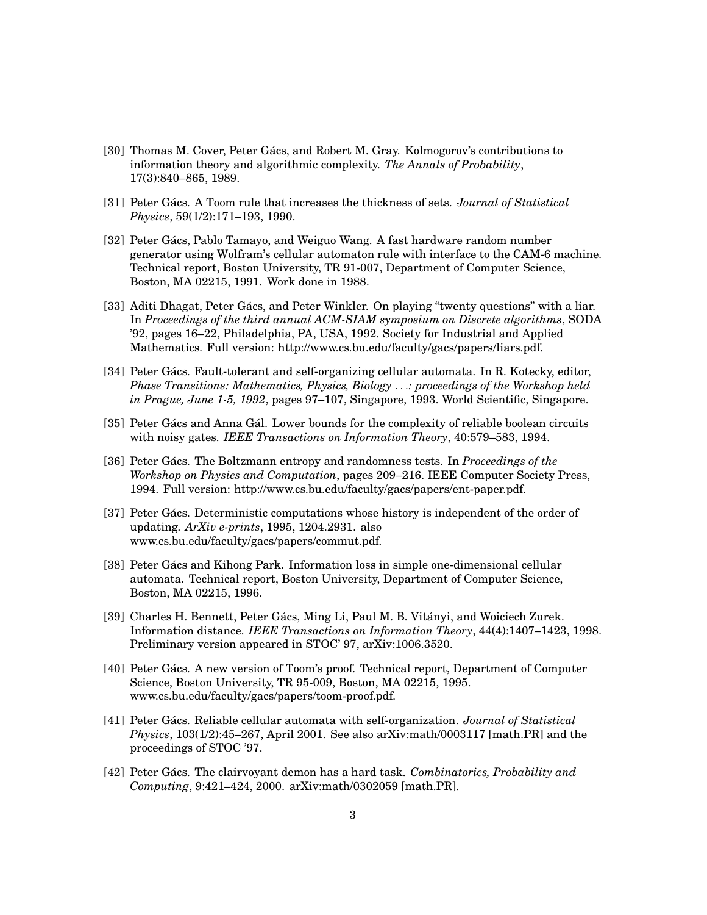- [30] Thomas M. Cover, Peter Gács, and Robert M. Gray. Kolmogorov's contributions to information theory and algorithmic complexity. *The Annals of Probability*, 17(3):840–865, 1989.
- [31] Peter Gács. A Toom rule that increases the thickness of sets. Journal of Statistical *Physics*, 59(1/2):171–193, 1990.
- [32] Peter Gács, Pablo Tamayo, and Weiguo Wang. A fast hardware random number generator using Wolfram's cellular automaton rule with interface to the CAM-6 machine. Technical report, Boston University, TR 91-007, Department of Computer Science, Boston, MA 02215, 1991. Work done in 1988.
- [33] Aditi Dhagat, Peter Gács, and Peter Winkler. On playing "twenty questions" with a liar. In *Proceedings of the third annual ACM-SIAM symposium on Discrete algorithms*, SODA '92, pages 16–22, Philadelphia, PA, USA, 1992. Society for Industrial and Applied Mathematics. Full version: http://www.cs.bu.edu/faculty/gacs/papers/liars.pdf.
- [34] Peter Gács. Fault-tolerant and self-organizing cellular automata. In R. Kotecky, editor, *Phase Transitions: Mathematics, Physics, Biology . . .: proceedings of the Workshop held in Prague, June 1-5, 1992*, pages 97–107, Singapore, 1993. World Scientific, Singapore.
- [35] Peter Gács and Anna Gál. Lower bounds for the complexity of reliable boolean circuits with noisy gates. *IEEE Transactions on Information Theory*, 40:579–583, 1994.
- [36] Peter Gács. The Boltzmann entropy and randomness tests. In *Proceedings of the Workshop on Physics and Computation*, pages 209–216. IEEE Computer Society Press, 1994. Full version: http://www.cs.bu.edu/faculty/gacs/papers/ent-paper.pdf.
- [37] Peter Gács. Deterministic computations whose history is independent of the order of updating. *ArXiv e-prints*, 1995, 1204.2931. also www.cs.bu.edu/faculty/gacs/papers/commut.pdf.
- [38] Peter Gács and Kihong Park. Information loss in simple one-dimensional cellular automata. Technical report, Boston University, Department of Computer Science, Boston, MA 02215, 1996.
- [39] Charles H. Bennett, Peter Gács, Ming Li, Paul M. B. Vitányi, and Woiciech Zurek. Information distance. *IEEE Transactions on Information Theory*, 44(4):1407–1423, 1998. Preliminary version appeared in STOC' 97, arXiv:1006.3520.
- [40] Peter Gács. A new version of Toom's proof. Technical report, Department of Computer Science, Boston University, TR 95-009, Boston, MA 02215, 1995. www.cs.bu.edu/faculty/gacs/papers/toom-proof.pdf.
- [41] Peter Gács. Reliable cellular automata with self-organization. *Journal of Statistical Physics*, 103(1/2):45–267, April 2001. See also arXiv:math/0003117 [math.PR] and the proceedings of STOC '97.
- [42] Peter Gács. The clairvoyant demon has a hard task. *Combinatorics, Probability and Computing*, 9:421–424, 2000. arXiv:math/0302059 [math.PR].